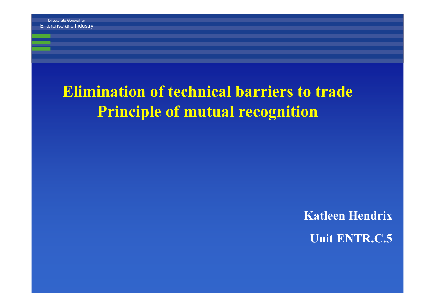#### **Elimination of technical barriers to trade Principle of mutual recognition**

**Katleen Hendrix Unit ENTR.C.5**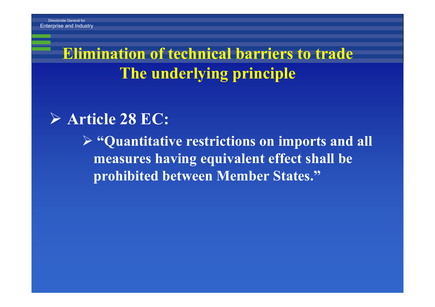## **Elimination of technical barriers to trade The underlying principle**

#### ¾ **Article 28 EC:**

¾ **"Quantitative restrictions on imports and all measures having equivalent effect shall be prohibited between Member States."**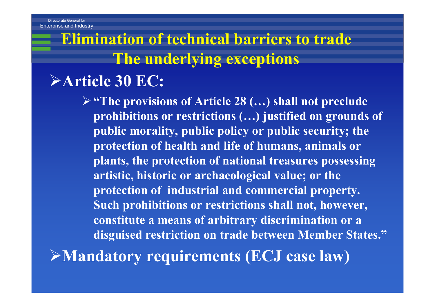# **Elimination of technical barriers to trade The underlying exceptions**

#### ¾**Article 30 EC:**

¾**"The provisions of Article 28 (…) shall not preclude prohibitions or restrictions (…) justified on grounds of public morality, public policy or public security; the protection of health and life of humans, animals or plants, the protection of national treasures possessing artistic, historic or archaeological value; or the protection of industrial and commercial property. Such prohibitions or restrictions shall not, however, constitute a means of arbitrary discrimination or a disguised restriction on trade between Member States."**

¾**Mandatory requirements (ECJ case law)**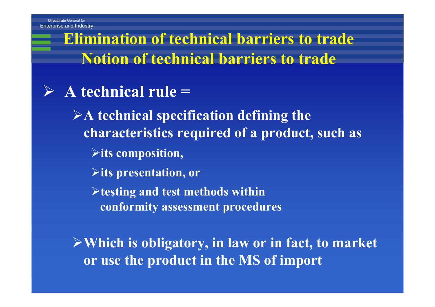**Elimination of technical barriers to trade Notion of technical barriers to trade**

#### ¾**A technical rule =**

¾**A technical specification defining the characteristics required of a product, such as** 

- ¾**its composition,**
- ¾**its presentation, or**

¾**testing and test methods within conformity assessment procedures**

¾**Which is obligatory, in law or in fact, to market or use the product in the MS of import**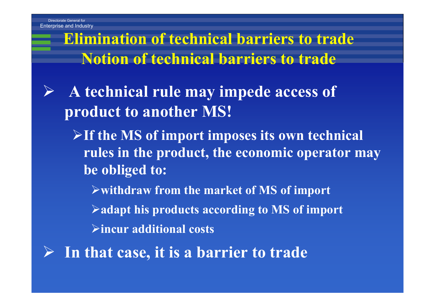**Elimination of technical barriers to trade Notion of technical barriers to trade**

- ¾ **A technical rule may impede access of product to another MS!** 
	- ¾**If the MS of import imposes its own technical rules in the product, the economic operator may be obliged to:**
		- ¾**withdraw from the market of MS of import**
		- ¾**adapt his products according to MS of import**
		- ¾**incur additional costs**
- ¾ **In that case, it is a barrier to trade**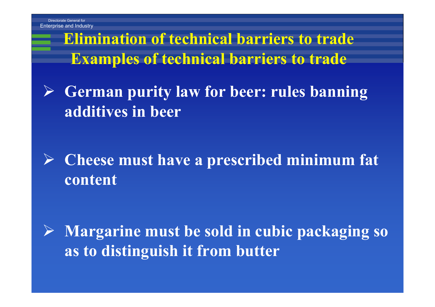Enterprise and

**Elimination of technical barriers to trade Examples of technical barriers to trade**

¾ **German purity law for beer: rules banning additives in beer**

## ¾ **Cheese must have a prescribed minimum fat content**

¾ **Margarine must be sold in cubic packaging so as to distinguish it from butter**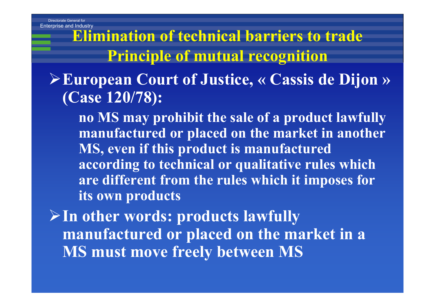Enterprise and

**Elimination of technical barriers to trade Principle of mutual recognition**

#### ¾**European Court of Justice, « Cassis de Dijon » (Case 120/78):**

**no MS may prohibit the sale of a product lawfully manufactured or placed on the market in another MS, even if this product is manufactured according to technical or qualitative rules which are different from the rules which it imposes for its own products**

¾**In other words: products lawfully manufactured or placed on the market in a MS must move freely between MS**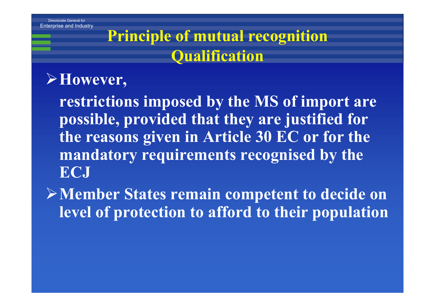## **Principle of mutual recognition Qualification**

#### ¾**However,**

**restrictions imposed by the MS of import are possible, provided that they are justified for the reasons given in Article 30 EC or for the mandatory requirements recognised by the ECJ**

¾**Member States remain competent to decide on level of protection to afford to their population**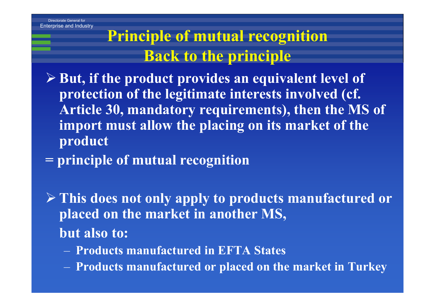## **Principle of mutual recognition Back to the principle**

- ¾ **But, if the product provides an equivalent level of protection of the legitimate interests involved (cf. Article 30, mandatory requirements), then the MS of import must allow the placing on its market of the product**
- **= principle of mutual recognition**
- ¾ **This does not only apply to products manufactured or placed on the market in another MS, but also to:**
	- **Products manufactured in EFTA States**
	- **Products manufactured or placed on the market in Turkey**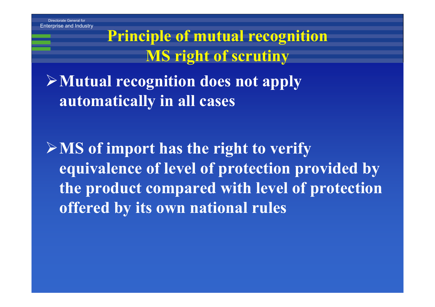**Principle of mutual recognition MS right of scrutiny**

¾**Mutual recognition does not apply automatically in all cases**

¾**MS of import has the right to verify equivalence of level of protection provided by the product compared with level of protection offered by its own national rules**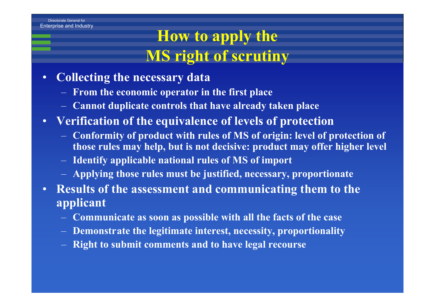## **How to apply the MS right of scrutiny**

- • **Collecting the necessary data**
	- **From the economic operator in the first place**
	- **Cannot duplicate controls that have already taken place**
- **Verification of the equivalence of levels of protection**
	- **Conformity of product with rules of MS of origin: level of protection of those rules may help, but is not decisive: product may offer higher level**
	- **Identify applicable national rules of MS of import**
	- **Applying those rules must be justified, necessary, proportionate**
- **Results of the assessment and communicating them to the applicant**
	- **Communicate as soon as possible with all the facts of the case**
	- **Demonstrate the legitimate interest, necessity, proportionality**
	- **Right to submit comments and to have legal recourse**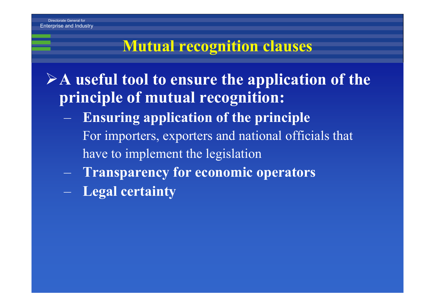#### **Mutual recognition clauses**

¾**A useful tool to ensure the application of the principle of mutual recognition:**

- **Ensuring application of the principle** For importers, exporters and national officials that have to implement the legislation
- **Transparency for economic operators**
- **Legal certainty**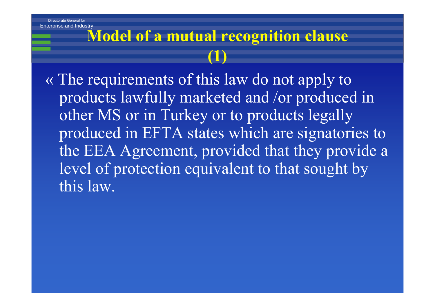## **Model of a mutual recognition clause (1)**

« The requirements of this law do not apply to products lawfully marketed and /or produced in other MS or in Turkey or to products legally produced in EFTA states which are signatories to the EEA Agreement, provided that they provide <sup>a</sup> level of protection equivalent to that sought by this law.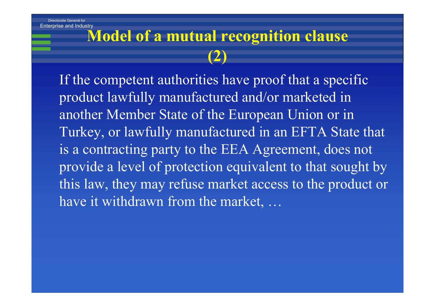## **Model of a mutual recognition clause (2)**

If the competent authorities have proof that a specific product lawfully manufactured and/or marketed in another Member State of the European Union or in Turkey, or lawfully manufactured in an EFTA State that is a contracting party to the EEA Agreement, does not provide a level of protection equivalent to that sought by this law, they may refuse market access to the product or have it withdrawn from the market, …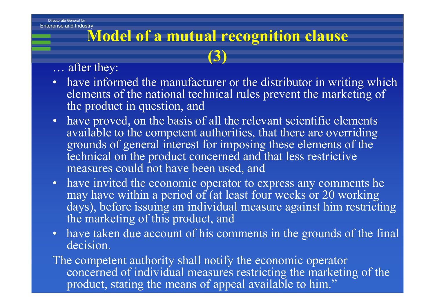## **Model of a mutual recognition clause (3)**

#### … after they:

- have informed the manufacturer or the distributor in writing which elements of the national technical rules prevent the marketing of the product in question, and
- have proved, on the basis of all the relevant scientific elements available to the competent authorities, that there are overriding grounds of general interest for imposing these elements of the technical on the product concerned and that less restrictive measures could not have been used, and
- have invited the economic operator to express any comments he may have within a period of (at least four weeks or 20 working days), before issuing an individual measure against him restricting the marketing of this product, and
- have taken due account of his comments in the grounds of the fina decision.

The competent authority shall notify the economic operator concerned of individual measures restricting the marketing of the product stating the means of anneal available to him."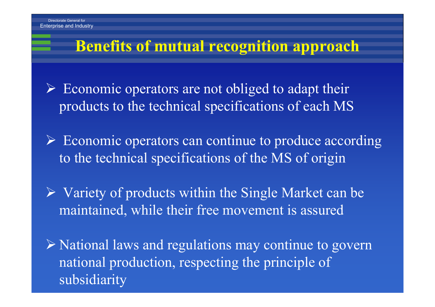#### **Benefits of mutual recognition approach**

 $\triangleright$  Economic operators are not obliged to adapt their products to the technical specifications of each MS

¾ Economic operators can continue to produce according to the technical specifications of the MS of origin

 $\triangleright$  Variety of products within the Single Market can be maintained, while their free movement is assured

¾ National laws and regulations may continue to govern national production, respecting the principle of subsidiarity